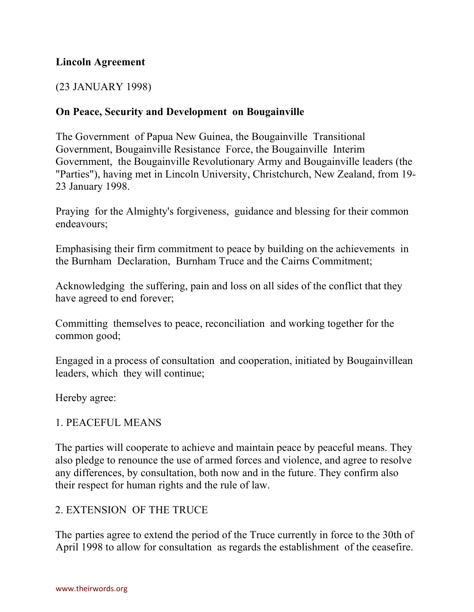### **Lincoln Agreement**

#### (23 JANUARY 1998)

### **On Peace, Security and Development on Bougainville**

The Government of Papua New Guinea, the Bougainville Transitional Government, Bougainville Resistance Force, the Bougainville Interim Government, the Bougainville Revolutionary Army and Bougainville leaders (the "Parties"), having met in Lincoln University, Christchurch, New Zealand, from 19- 23 January 1998.

Praying for the Almighty's forgiveness, guidance and blessing for their common endeavours;

Emphasising their firm commitment to peace by building on the achievements in the Burnham Declaration, Burnham Truce and the Cairns Commitment;

Acknowledging the suffering, pain and loss on all sides of the conflict that they have agreed to end forever;

Committing themselves to peace, reconciliation and working together for the common good;

Engaged in a process of consultation and cooperation, initiated by Bougainvillean leaders, which they will continue;

Hereby agree:

#### 1. PEACEFUL MEANS

The parties will cooperate to achieve and maintain peace by peaceful means. They also pledge to renounce the use of armed forces and violence, and agree to resolve any differences, by consultation, both now and in the future. They confirm also their respect for human rights and the rule of law.

#### 2. EXTENSION OF THE TRUCE

The parties agree to extend the period of the Truce currently in force to the 30th of April 1998 to allow for consultation as regards the establishment of the ceasefire.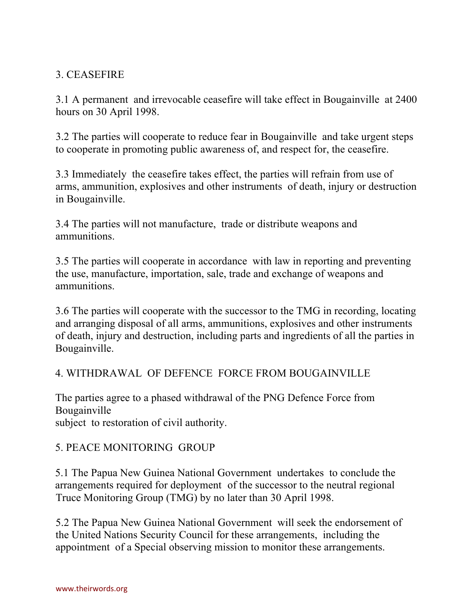## 3. CEASEFIRE

3.1 A permanent and irrevocable ceasefire will take effect in Bougainville at 2400 hours on 30 April 1998.

3.2 The parties will cooperate to reduce fear in Bougainville and take urgent steps to cooperate in promoting public awareness of, and respect for, the ceasefire.

3.3 Immediately the ceasefire takes effect, the parties will refrain from use of arms, ammunition, explosives and other instruments of death, injury or destruction in Bougainville.

3.4 The parties will not manufacture, trade or distribute weapons and ammunitions.

3.5 The parties will cooperate in accordance with law in reporting and preventing the use, manufacture, importation, sale, trade and exchange of weapons and ammunitions.

3.6 The parties will cooperate with the successor to the TMG in recording, locating and arranging disposal of all arms, ammunitions, explosives and other instruments of death, injury and destruction, including parts and ingredients of all the parties in Bougainville.

# 4. WITHDRAWAL OF DEFENCE FORCE FROM BOUGAINVILLE

The parties agree to a phased withdrawal of the PNG Defence Force from Bougainville

subject to restoration of civil authority.

### 5. PEACE MONITORING GROUP

5.1 The Papua New Guinea National Government undertakes to conclude the arrangements required for deployment of the successor to the neutral regional Truce Monitoring Group (TMG) by no later than 30 April 1998.

5.2 The Papua New Guinea National Government will seek the endorsement of the United Nations Security Council for these arrangements, including the appointment of a Special observing mission to monitor these arrangements.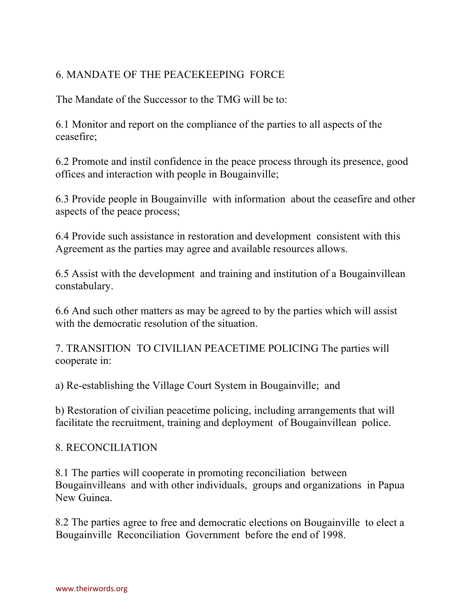# 6. MANDATE OF THE PEACEKEEPING FORCE

The Mandate of the Successor to the TMG will be to:

6.1 Monitor and report on the compliance of the parties to all aspects of the ceasefire;

6.2 Promote and instil confidence in the peace process through its presence, good offices and interaction with people in Bougainville;

6.3 Provide people in Bougainville with information about the ceasefire and other aspects of the peace process;

6.4 Provide such assistance in restoration and development consistent with this Agreement as the parties may agree and available resources allows.

6.5 Assist with the development and training and institution of a Bougainvillean constabulary.

6.6 And such other matters as may be agreed to by the parties which will assist with the democratic resolution of the situation.

7. TRANSITION TO CIVILIAN PEACETIME POLICING The parties will cooperate in:

a) Re-establishing the Village Court System in Bougainville; and

b) Restoration of civilian peacetime policing, including arrangements that will facilitate the recruitment, training and deployment of Bougainvillean police.

### 8. RECONCILIATION

8.1 The parties will cooperate in promoting reconciliation between Bougainvilleans and with other individuals, groups and organizations in Papua New Guinea.

8.2 The parties agree to free and democratic elections on Bougainville to elect a Bougainville Reconciliation Government before the end of 1998.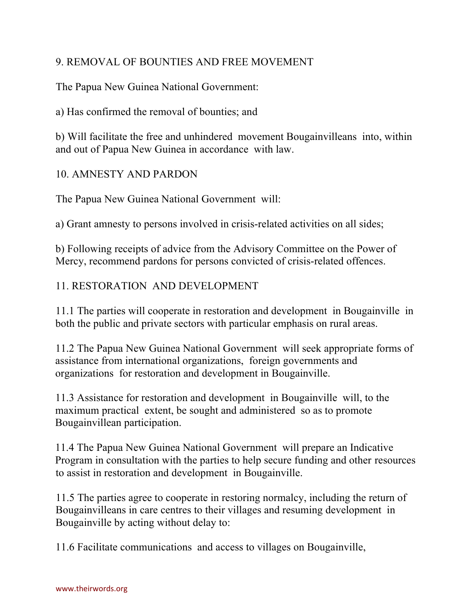# 9. REMOVAL OF BOUNTIES AND FREE MOVEMENT

The Papua New Guinea National Government:

a) Has confirmed the removal of bounties; and

b) Will facilitate the free and unhindered movement Bougainvilleans into, within and out of Papua New Guinea in accordance with law.

### 10. AMNESTY AND PARDON

The Papua New Guinea National Government will:

a) Grant amnesty to persons involved in crisis-related activities on all sides;

b) Following receipts of advice from the Advisory Committee on the Power of Mercy, recommend pardons for persons convicted of crisis-related offences.

# 11. RESTORATION AND DEVELOPMENT

11.1 The parties will cooperate in restoration and development in Bougainville in both the public and private sectors with particular emphasis on rural areas.

11.2 The Papua New Guinea National Government will seek appropriate forms of assistance from international organizations, foreign governments and organizations for restoration and development in Bougainville.

11.3 Assistance for restoration and development in Bougainville will, to the maximum practical extent, be sought and administered so as to promote Bougainvillean participation.

11.4 The Papua New Guinea National Government will prepare an Indicative Program in consultation with the parties to help secure funding and other resources to assist in restoration and development in Bougainville.

11.5 The parties agree to cooperate in restoring normalcy, including the return of Bougainvilleans in care centres to their villages and resuming development in Bougainville by acting without delay to:

11.6 Facilitate communications and access to villages on Bougainville,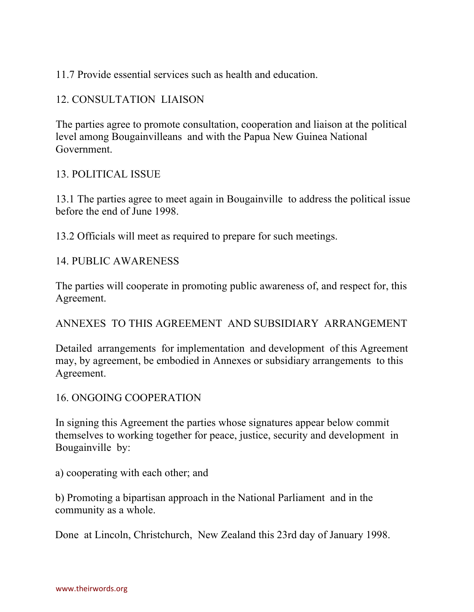11.7 Provide essential services such as health and education.

# 12. CONSULTATION LIAISON

The parties agree to promote consultation, cooperation and liaison at the political level among Bougainvilleans and with the Papua New Guinea National Government.

### 13. POLITICAL ISSUE

13.1 The parties agree to meet again in Bougainville to address the political issue before the end of June 1998.

13.2 Officials will meet as required to prepare for such meetings.

### 14. PUBLIC AWARENESS

The parties will cooperate in promoting public awareness of, and respect for, this Agreement.

# ANNEXES TO THIS AGREEMENT AND SUBSIDIARY ARRANGEMENT

Detailed arrangements for implementation and development of this Agreement may, by agreement, be embodied in Annexes or subsidiary arrangements to this Agreement.

### 16. ONGOING COOPERATION

In signing this Agreement the parties whose signatures appear below commit themselves to working together for peace, justice, security and development in Bougainville by:

a) cooperating with each other; and

b) Promoting a bipartisan approach in the National Parliament and in the community as a whole.

Done at Lincoln, Christchurch, New Zealand this 23rd day of January 1998.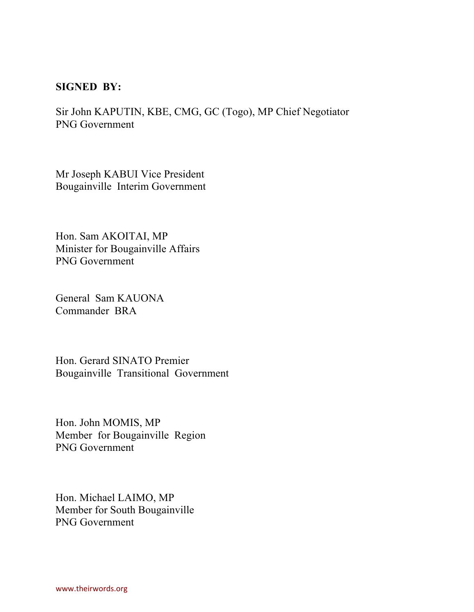#### **SIGNED BY:**

Sir John KAPUTIN, KBE, CMG, GC (Togo), MP Chief Negotiator PNG Government

Mr Joseph KABUI Vice President Bougainville Interim Government

Hon. Sam AKOITAI, MP Minister for Bougainville Affairs PNG Government

General Sam KAUONA Commander BRA

Hon. Gerard SINATO Premier Bougainville Transitional Government

Hon. John MOMIS, MP Member for Bougainville Region PNG Government

Hon. Michael LAIMO, MP Member for South Bougainville PNG Government